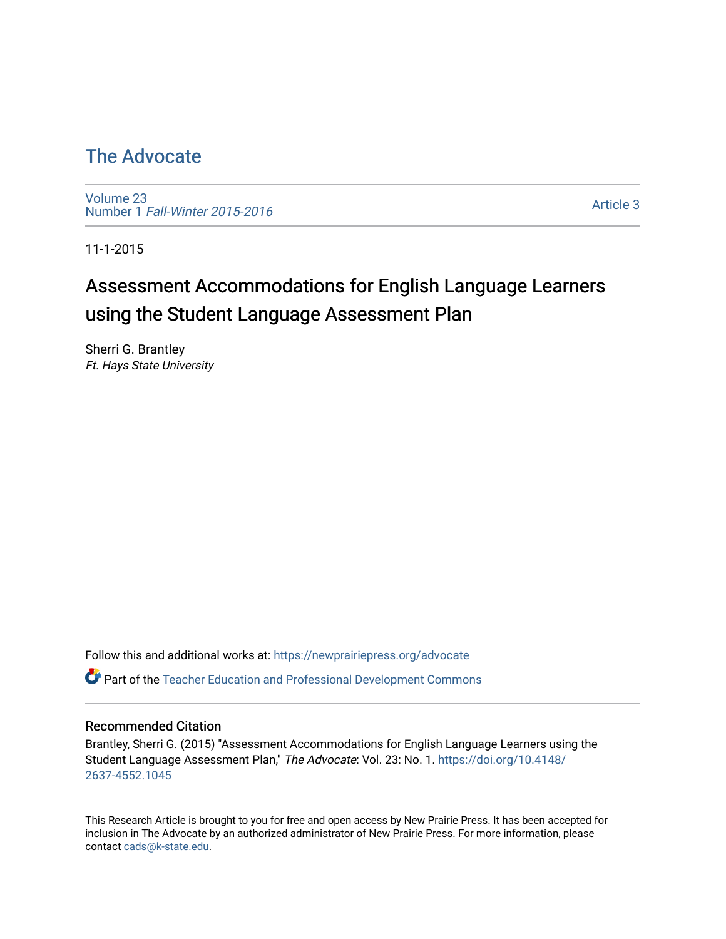# [The Advocate](https://newprairiepress.org/advocate)

[Volume 23](https://newprairiepress.org/advocate/vol23) Number 1 [Fall-Winter 2015-2016](https://newprairiepress.org/advocate/vol23/iss1) 

[Article 3](https://newprairiepress.org/advocate/vol23/iss1/3) 

11-1-2015

# Assessment Accommodations for English Language Learners using the Student Language Assessment Plan

Sherri G. Brantley Ft. Hays State University

Follow this and additional works at: [https://newprairiepress.org/advocate](https://newprairiepress.org/advocate?utm_source=newprairiepress.org%2Fadvocate%2Fvol23%2Fiss1%2F3&utm_medium=PDF&utm_campaign=PDFCoverPages) 

Part of the [Teacher Education and Professional Development Commons](http://network.bepress.com/hgg/discipline/803?utm_source=newprairiepress.org%2Fadvocate%2Fvol23%2Fiss1%2F3&utm_medium=PDF&utm_campaign=PDFCoverPages) 

#### Recommended Citation

Brantley, Sherri G. (2015) "Assessment Accommodations for English Language Learners using the Student Language Assessment Plan," The Advocate: Vol. 23: No. 1. [https://doi.org/10.4148/](https://doi.org/10.4148/2637-4552.1045) [2637-4552.1045](https://doi.org/10.4148/2637-4552.1045) 

This Research Article is brought to you for free and open access by New Prairie Press. It has been accepted for inclusion in The Advocate by an authorized administrator of New Prairie Press. For more information, please contact [cads@k-state.edu](mailto:cads@k-state.edu).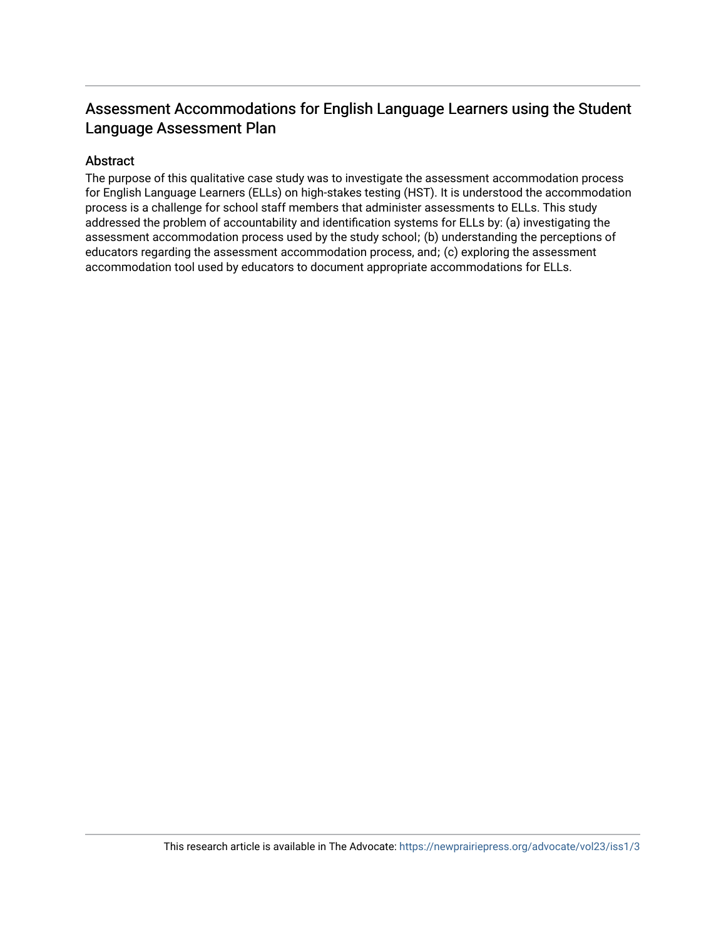### Assessment Accommodations for English Language Learners using the Student Language Assessment Plan

#### Abstract

The purpose of this qualitative case study was to investigate the assessment accommodation process for English Language Learners (ELLs) on high-stakes testing (HST). It is understood the accommodation process is a challenge for school staff members that administer assessments to ELLs. This study addressed the problem of accountability and identification systems for ELLs by: (a) investigating the assessment accommodation process used by the study school; (b) understanding the perceptions of educators regarding the assessment accommodation process, and; (c) exploring the assessment accommodation tool used by educators to document appropriate accommodations for ELLs.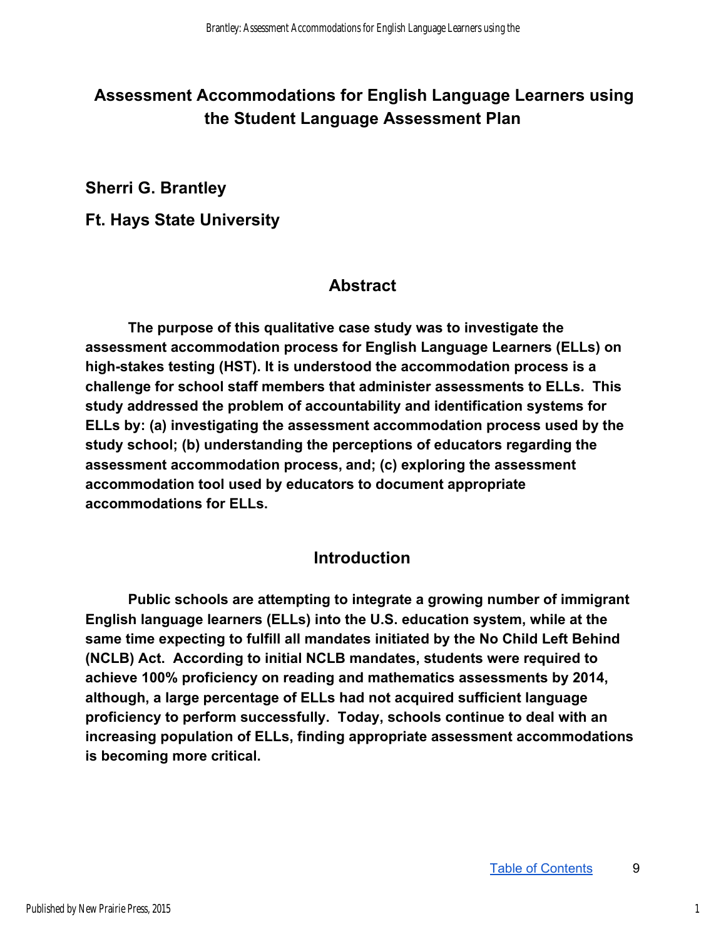# **Assessment Accommodations for English Language Learners using the Student Language Assessment Plan**

**Sherri G. Brantley** 

**Ft. Hays State University** 

## **Abstract**

**The purpose of this qualitative case study was to investigate the assessment accommodation process for English Language Learners (ELLs) on**  high-stakes testing (HST). It is understood the accommodation process is a **challenge for school staff members that administer assessments to ELLs. This study addressed the problem of accountability and identification systems for ELLs by: (a) investigating the assessment accommodation process used by the study school; (b) understanding the perceptions of educators regarding the assessment accommodation process,and; (c) exploring the assessment accommodation tool used by educators to document appropriate accommodations for ELLs.** 

### **Introduction**

**Public schools are attempting to integrate a growing number of immigrant English language learners (ELLs) into the U.S. education system, while at the same time expecting to fulfill all mandates initiated by the No Child Left Behind (NCLB) Act. According to initial NCLB mandates, students were required to achieve 100% proficiency on reading and mathematics assessments by 2014, although, a large percentage of ELLs had not acquired sufficient language proficiency to perform successfully. Today, schools continue to deal with an increasing population of ELLs, finding appropriate assessment accommodations is becoming more critical.**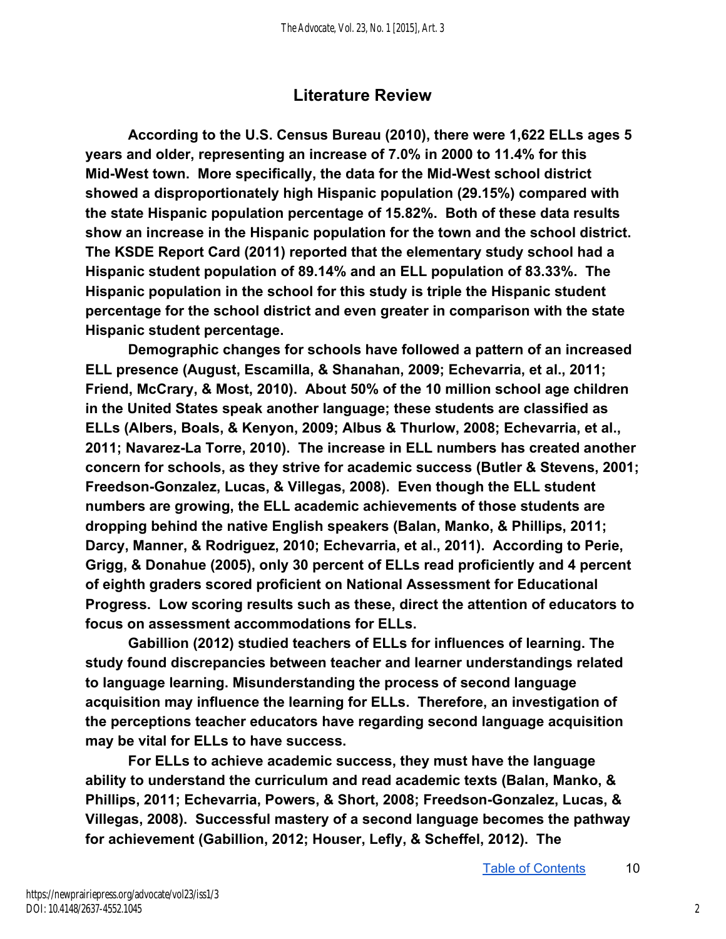### **Literature Review**

**According to the U.S. Census Bureau (2010), there were 1,622 ELLs ages 5 years and older, representing an increase of 7.0% in 2000 to 11.4% for this**  Mid-West town. More specifically, the data for the Mid-West school district **showed a disproportionately high Hispanic population (29.15%) compared with the state Hispanic population percentage of 15.82%. Both of these data results show an increase in the Hispanic population for the town and the school district. The KSDE Report Card (2011) reported that the elementary study school had a Hispanic student population of 89.14% and an ELL population of 83.33%. The Hispanic population in the school for this study is triple the Hispanic student percentage for the school district and even greater in comparison with the state Hispanic student percentage.** 

**Demographic changes for schools have followed a pattern of an increased ELL presence (August, Escamilla, & Shanahan, 2009; Echevarria, et al., 2011; Friend, McCrary, & Most, 2010). About 50% of the 10 million school age children in the United States speak another language; these students are classified as ELLs (Albers, Boals, & Kenyon, 2009; Albus & Thurlow, 2008; Echevarria, et al., 2011; NavarezLa Torre, 2010). The increase in ELL numbers has created another concern for schools, as they strive for academic success (Butler & Stevens, 2001;**  Freedson-Gonzalez, Lucas, & Villegas, 2008). Even though the ELL student **numbers are growing, the ELL academic achievements of those students are dropping behind the native English speakers (Balan, Manko, & Phillips, 2011; Darcy, Manner, & Rodriguez, 2010; Echevarria, et al., 2011). According to Perie, Grigg, & Donahue (2005), only 30 percent of ELLs read proficiently and 4 percent of eighth graders scored proficient on National Assessment for Educational Progress. Low scoring results such as these, direct the attention of educators to focus on assessment accommodations for ELLs.** 

**Gabillion (2012) studied teachers of ELLs for influences of learning. The study found discrepancies between teacher and learner understandings related to language learning. Misunderstanding the process of second language acquisition may influence the learning for ELLs. Therefore, an investigation of the perceptions teacher educators have regarding second language acquisition may be vital for ELLs to have success.** 

**For ELLs to achieve academic success, they must have the language ability to understand the curriculum and read academic texts (Balan, Manko, &**  Phillips, 2011; Echevarria, Powers, & Short, 2008; Freedson-Gonzalez, Lucas, & **Villegas, 2008). Successful mastery of a second language becomes the pathway for achievement (Gabillion, 2012; Houser, Lefly, & Scheffel, 2012). The**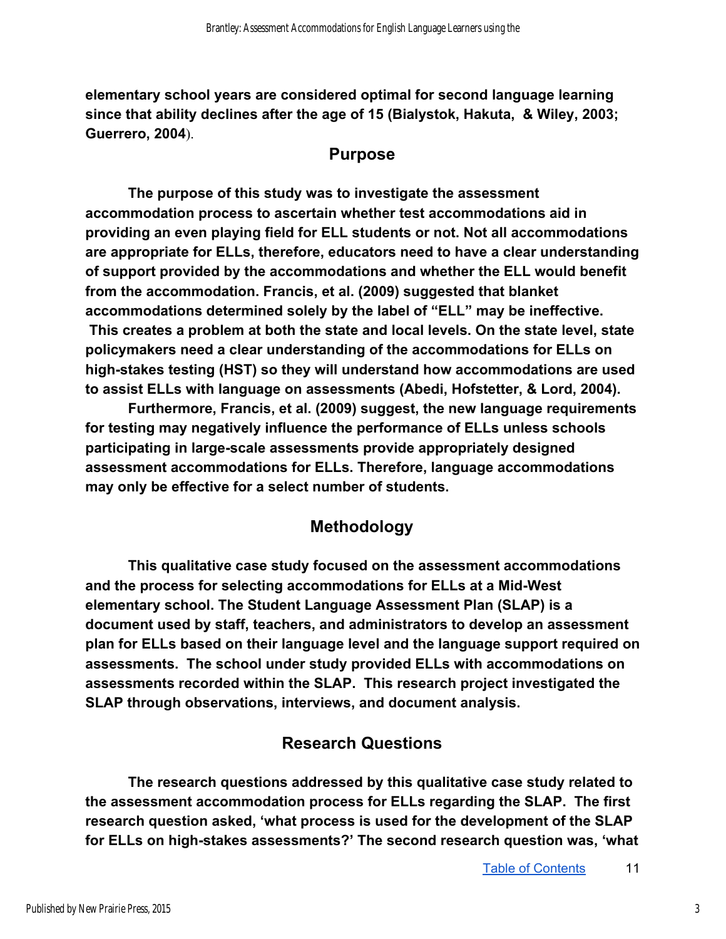**elementary school years are considered optimal for second language learning since that ability declines after the age of 15 (Bialystok, Hakuta, & Wiley, 2003; Guerrero, 2004**).

#### **Purpose**

**The purpose of this study was to investigate the assessment accommodation process to ascertain whether test accommodations aid in providing an even playing field for ELL students or not. Not all accommodations are appropriate for ELLs, therefore, educators need to have a clear understanding of support provided by the accommodations and whether the ELL would benefit from the accommodation. Francis, et al. (2009) suggested that blanket accommodations determined solely by the label of "ELL" may be ineffective. This creates a problem at both the state and local levels. On the state level, state policymakers need a clear understanding of the accommodations for ELLs on**  high-stakes testing (HST) so they will understand how accommodations are used **to assist ELLs with language on assessments (Abedi, Hofstetter, & Lord, 2004).** 

**Furthermore, Francis, et al. (2009) suggest, the new language requirements for testing may negatively influence the performance of ELLs unless schools**  participating in large-scale assessments provide appropriately designed **assessment accommodations for ELLs. Therefore, language accommodations may only be effective for a select number of students.** 

### **Methodology**

**This qualitative case study focused on the assessment accommodations**  and the process for selecting accommodations for ELLs at a Mid-West **elementary school. The Student Language Assessment Plan (SLAP) is a document used by staff, teachers, and administrators to develop an assessment plan for ELLs based on their language level and the language support required on assessments. The school under study provided ELLs with accommodations on assessments recorded within the SLAP. This research project investigated the SLAP through observations, interviews, and document analysis.** 

### **Research Questions**

**The research questions addressed by this qualitative case study related to the assessment accommodation process for ELLs regarding the SLAP. The first research question asked, 'what process is used for the development of the SLAP**  for ELLs on high-stakes assessments?' The second research question was, 'what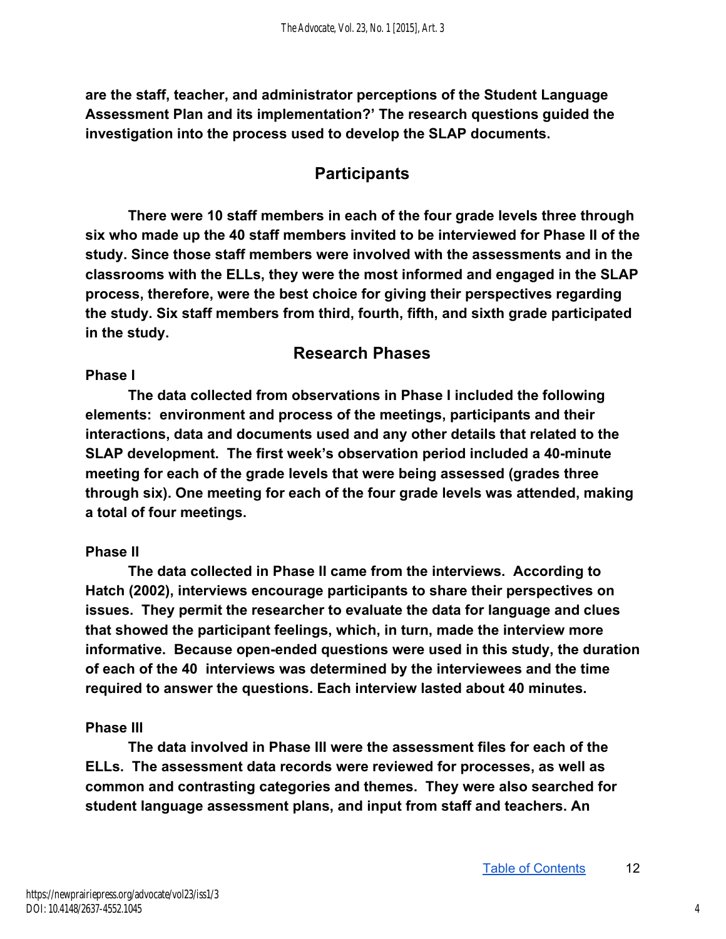**are the staff, teacher, and administrator perceptions of the Student Language Assessment Plan and its implementation?' The research questions guided the investigation into the process used to develop the SLAP documents.** 

### **Participants**

**There were 10 staff members in each of the four grade levels three through six who made up the 40 staff members invited to be interviewed for Phase II of the study. Since those staff members were involved with the assessments and in the classrooms with the ELLs, they were the most informed and engaged in the SLAP process, therefore, were the best choice for giving their perspectives regarding the study. Six staff members from third, fourth, fifth, and sixth grade participated in the study.** 

#### **Research Phases**

#### **Phase I**

**The data collected from observations in Phase I included the following elements: environment and process of the meetings, participants and their interactions, data and documents used and any other details that related to the SLAP development. The first week's observation period included a 40minute meeting for each of the grade levels that were being assessed (grades three through six). One meeting for each of the four grade levels was attended, making a total of four meetings.** 

#### **Phase II**

**The data collected in Phase II came from the interviews. According to Hatch (2002), interviews encourage participants to share their perspectives on issues. They permit the researcher to evaluate the data for language and clues that showed the participant feelings, which, in turn, made the interview more informative. Because open-ended questions were used in this study, the duration of each of the 40 interviews was determined by the interviewees and the time required to answer the questions. Each interview lasted about 40 minutes.** 

#### **Phase III**

**The data involved in Phase III were the assessment files for each of the ELLs. The assessment data records were reviewed for processes, as well as common and contrasting categories and themes. They were also searched for student language assessment plans, and input from staff and teachers. An**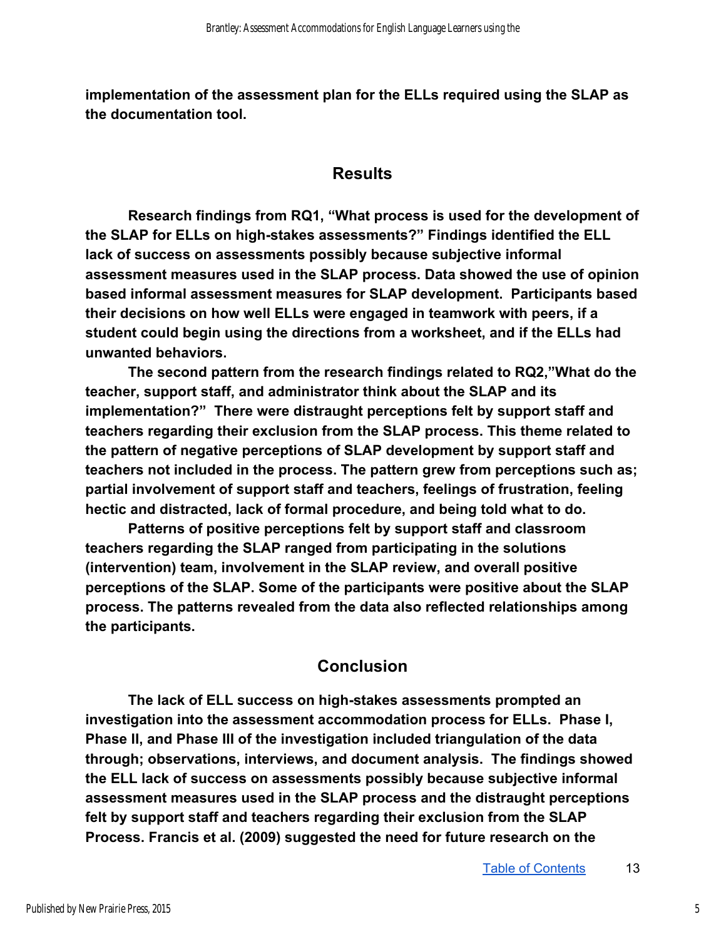**implementation of the assessment plan for the ELLs required using the SLAP as the documentation tool.** 

#### **Results**

**Research findings from RQ1, "What process is used for the development of**  the SLAP for ELLs on high-stakes assessments?" Findings identified the ELL **lack of success on assessments possibly because subjective informal assessment measures used in the SLAP process. Data showed the use of opinion based informal assessment measures for SLAP development. Participants based their decisions on how well ELLs were engaged in teamwork with peers, if a student could begin using the directions from a worksheet, and if the ELLs had unwanted behaviors.** 

**The second pattern from the research findings related to RQ2,"What do the teacher, support staff, and administrator think about the SLAP and its implementation?" There were distraught perceptions felt by support staff and teachers regarding their exclusion from the SLAP process. This theme related to the pattern of negative perceptions of SLAP development by support staff and teachers not included in the process. The pattern grew from perceptions such as; partial involvement of support staff and teachers, feelings of frustration, feeling hectic and distracted, lack of formal procedure, and being told what to do.** 

**Patterns of positive perceptions felt by support staff and classroom teachers regarding the SLAP ranged from participating in the solutions (intervention) team, involvement in the SLAP review, and overall positive perceptions of the SLAP. Some of the participants were positive about the SLAP process. The patterns revealed from the data also reflected relationships among the participants.** 

### **Conclusion**

The lack of ELL success on high-stakes assessments prompted an **investigation into the assessment accommodation process for ELLs. Phase I, Phase II, and Phase III of the investigation included triangulation of the data through; observations, interviews, and document analysis. The findings showed the ELL lack of success on assessments possibly because subjective informal assessment measures used in the SLAP process and the distraught perceptions felt by support staff and teachers regarding their exclusion from the SLAP Process. Francis et al. (2009) suggested the need for future research on the**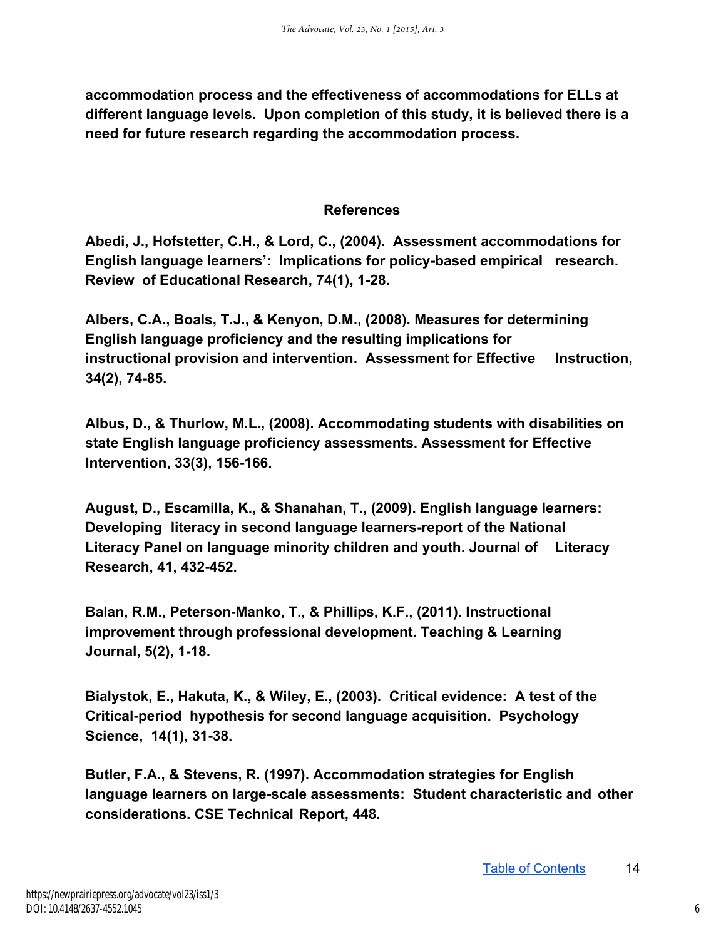**accommodation process and the effectiveness of accommodations for ELLs at different language levels. Upon completion of this study, it is believed there is a need for future research regarding the accommodation process.** 

#### **References**

**Abedi, J., Hofstetter, C.H., & Lord, C., (2004). Assessment accommodations for**  English language learners': Implications for policy-based empirical research. **Review of Educational Research, 74(1), 1-28.** 

**Albers, C.A., Boals, T.J., & Kenyon, D.M., (2008). Measures for determining English language proficiency and the resulting implications for instructional provision and intervention. Assessment for Effective Instruction, 34(2), 74-85.** 

**Albus, D., & Thurlow, M.L., (2008). Accommodating students with disabilities on state English language proficiency assessments. Assessment for Effective Intervention, 33(3), 156-166.** 

**August, D., Escamilla, K., & Shanahan, T., (2009). English language learners: Developing literacy in second language learners-report of the National Literacy Panel on language minority children and youth. Journal of Literacy Research, 41, 432452.** 

Balan, R.M., Peterson-Manko, T., & Phillips, K.F., (2011). Instructional **improvement through professional development. Teaching & Learning Journal, 5(2), 1-18.** 

**Bialystok, E., Hakuta, K., & Wiley, E., (2003). Critical evidence: A test of the Critical-period hypothesis for second language acquisition. Psychology** Science, 14(1), 31-38.

**Butler, F.A., & Stevens, R. (1997). Accommodation strategies for English**  language learners on large-scale assessments: Student characteristic and other **considerations. CSE Technical Report, 448.**